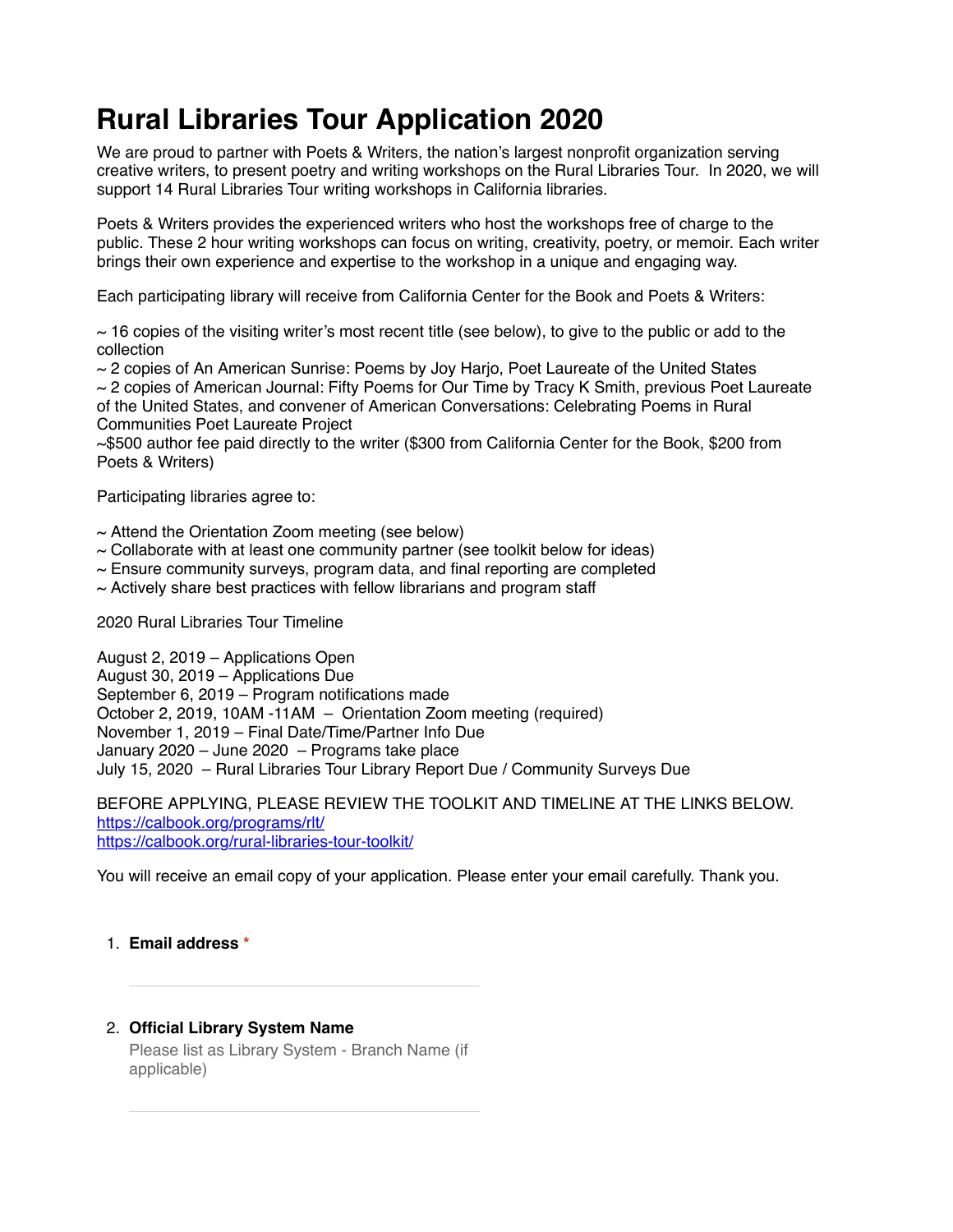# **Rural Libraries Tour Application 2020**

We are proud to partner with Poets & Writers, the nation's largest nonprofit organization serving creative writers, to present poetry and writing workshops on the Rural Libraries Tour. In 2020, we will support 14 Rural Libraries Tour writing workshops in California libraries.

Poets & Writers provides the experienced writers who host the workshops free of charge to the public. These 2 hour writing workshops can focus on writing, creativity, poetry, or memoir. Each writer brings their own experience and expertise to the workshop in a unique and engaging way.

Each participating library will receive from California Center for the Book and Poets & Writers:

 $\sim$  16 copies of the visiting writer's most recent title (see below), to give to the public or add to the collection

 $\sim$  2 copies of An American Sunrise: Poems by Joy Harjo, Poet Laureate of the United States

 $\sim$  2 copies of American Journal: Fifty Poems for Our Time by Tracy K Smith, previous Poet Laureate of the United States, and convener of American Conversations: Celebrating Poems in Rural Communities Poet Laureate Project

~\$500 author fee paid directly to the writer (\$300 from California Center for the Book, \$200 from Poets & Writers)

Participating libraries agree to:

- $\sim$  Attend the Orientation Zoom meeting (see below)
- $\sim$  Collaborate with at least one community partner (see toolkit below for ideas)
- $\sim$  Ensure community surveys, program data, and final reporting are completed
- $\sim$  Actively share best practices with fellow librarians and program staff

2020 Rural Libraries Tour Timeline

August 2, 2019 – Applications Open August 30, 2019 – Applications Due September 6, 2019 – Program notifications made October 2, 2019, 10AM -11AM – Orientation Zoom meeting (required) November 1, 2019 – Final Date/Time/Partner Info Due January 2020 – June 2020 – Programs take place July 15, 2020 – Rural Libraries Tour Library Report Due / Community Surveys Due

BEFORE APPLYING, PLEASE REVIEW THE TOOLKIT AND TIMELINE AT THE LINKS BELOW. [https://calbook.org/programs/rlt/](https://www.google.com/url?q=https://calbook.org/programs/rlt/&sa=D&ust=1564442948295000&usg=AFQjCNFSQtmR9N0X_oUHDjLYPtiQbf2WDw) [https://calbook.org/rural-libraries-tour-toolkit/](https://www.google.com/url?q=https://calbook.org/rural-libraries-tour-toolkit/&sa=D&ust=1564442948295000&usg=AFQjCNGaoLxhS7qleH_RZ9wkZmCqtoMM4w)

You will receive an email copy of your application. Please enter your email carefully. Thank you.

#### 1. **Email address \***

#### 2. **Official Library System Name**

Please list as Library System - Branch Name (if applicable)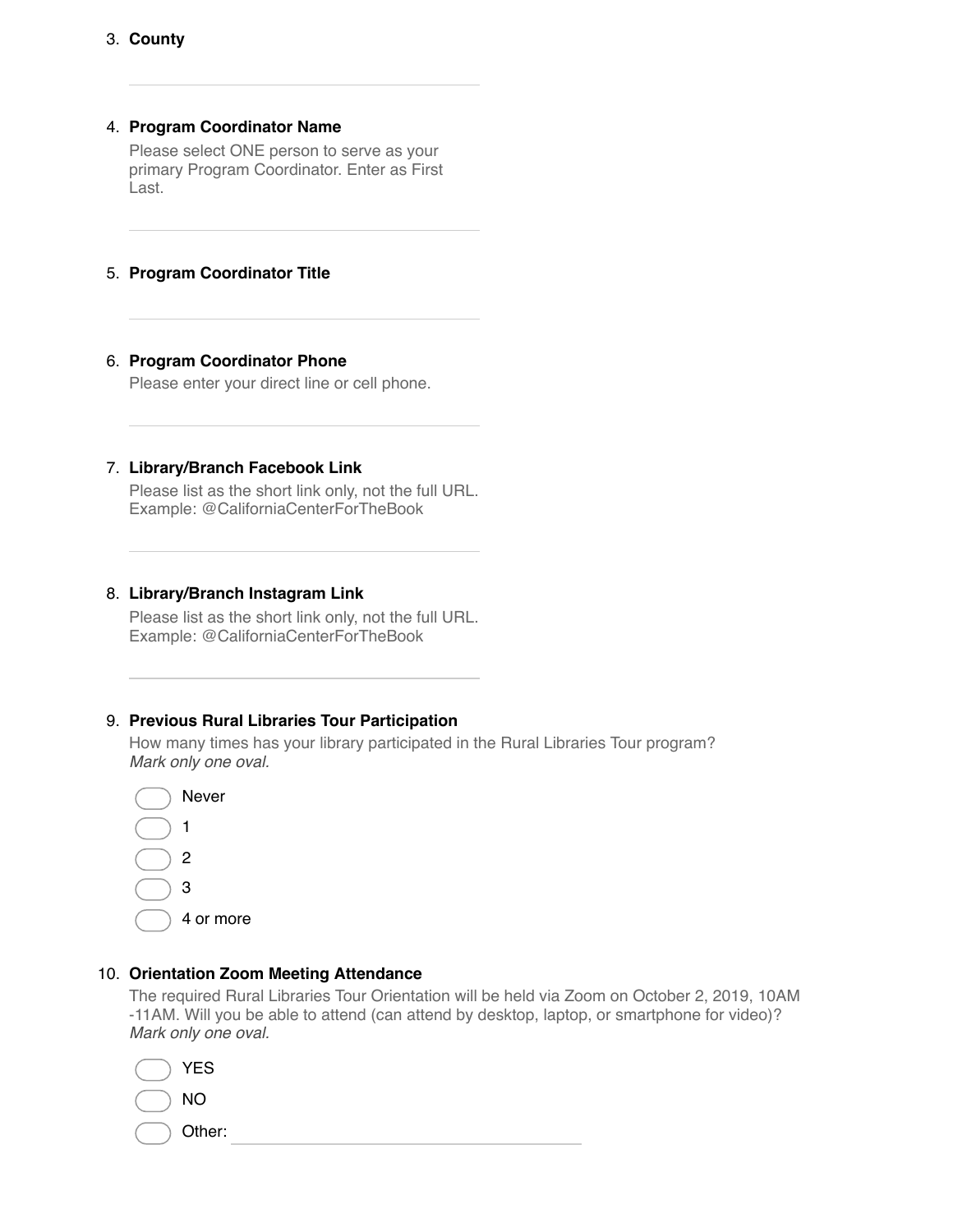#### 4. **Program Coordinator Name**

Please select ONE person to serve as your primary Program Coordinator. Enter as First Last.

#### 5. **Program Coordinator Title**

#### 6. **Program Coordinator Phone**

Please enter your direct line or cell phone.

#### 7. **Library/Branch Facebook Link**

Please list as the short link only, not the full URL. Example: @CaliforniaCenterForTheBook

#### 8. **Library/Branch Instagram Link**

Please list as the short link only, not the full URL. Example: @CaliforniaCenterForTheBook

#### 9. **Previous Rural Libraries Tour Participation**

How many times has your library participated in the Rural Libraries Tour program? *Mark only one oval.*



#### 10. **Orientation Zoom Meeting Attendance**

The required Rural Libraries Tour Orientation will be held via Zoom on October 2, 2019, 10AM -11AM. Will you be able to attend (can attend by desktop, laptop, or smartphone for video)? *Mark only one oval.*

| $( )$ YES    |  |  |
|--------------|--|--|
| $( )$ NO     |  |  |
| $( )$ Other: |  |  |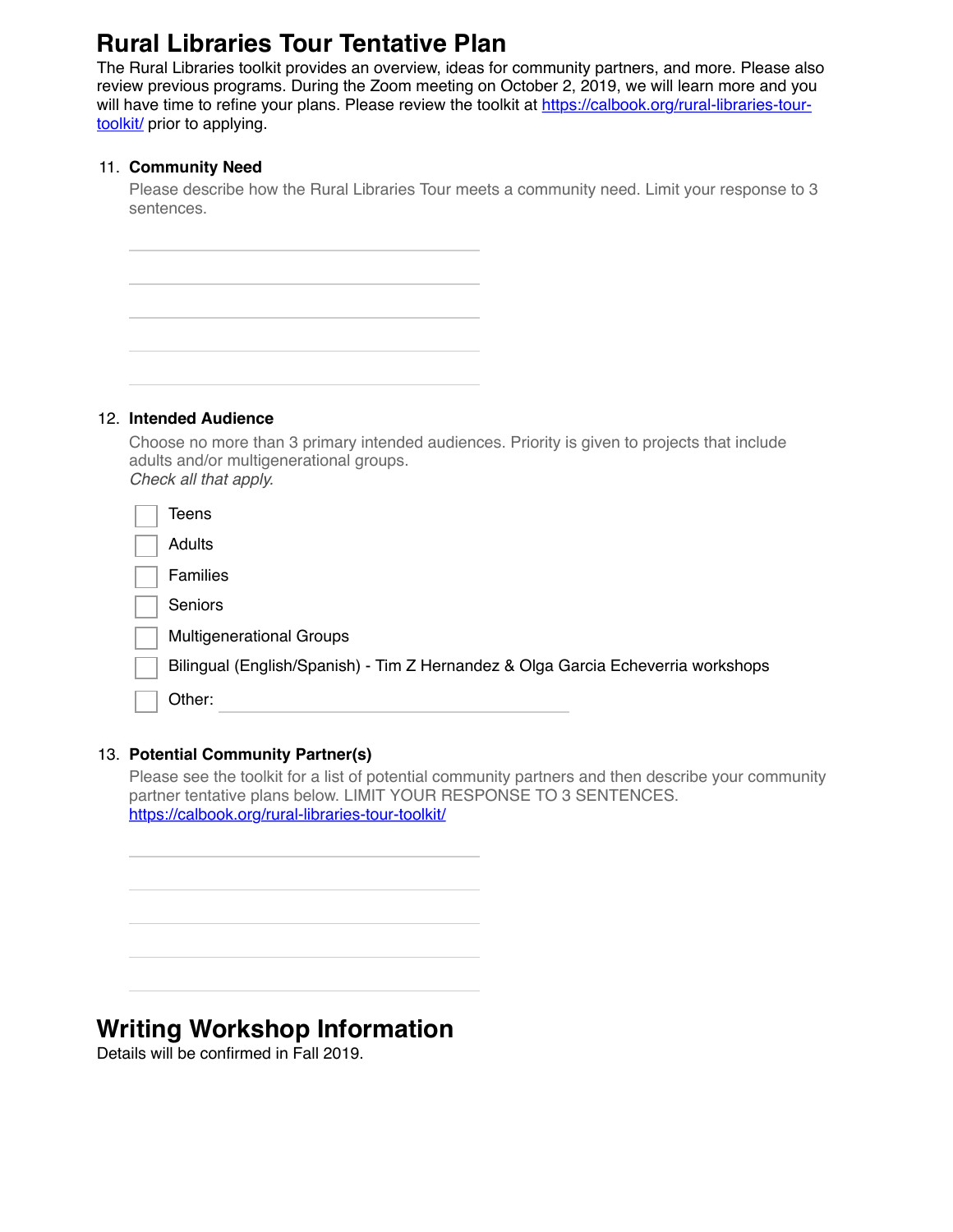## **Rural Libraries Tour Tentative Plan**

The Rural Libraries toolkit provides an overview, ideas for community partners, and more. Please also review previous programs. During the Zoom meeting on October 2, 2019, we will learn more and you [will have time to refine your plans. Please review the toolkit at https://calbook.org/rural-libraries-tour](https://www.google.com/url?q=https://calbook.org/rural-libraries-tour-toolkit/&sa=D&ust=1564442948299000&usg=AFQjCNHXumzoPZdFupkC8K3v9bL7HQOsgw)toolkit/ prior to applying.

#### 11. **Community Need**

Please describe how the Rural Libraries Tour meets a community need. Limit your response to 3 sentences.

#### 12. **Intended Audience**

Choose no more than 3 primary intended audiences. Priority is given to projects that include adults and/or multigenerational groups. *Check all that apply.*

| Teens                                                                            |
|----------------------------------------------------------------------------------|
| Adults                                                                           |
| <b>Families</b>                                                                  |
| Seniors                                                                          |
| <b>Multigenerational Groups</b>                                                  |
| Bilingual (English/Spanish) - Tim Z Hernandez & Olga Garcia Echeverria workshops |
| Other:                                                                           |

#### 13. **Potential Community Partner(s)**

Please see the toolkit for a list of potential community partners and then describe your community partner tentative plans below. LIMIT YOUR RESPONSE TO 3 SENTENCES. [https://calbook.org/rural-libraries-tour-toolkit/](https://www.google.com/url?q=https://calbook.org/rural-libraries-tour-toolkit/&sa=D&ust=1564442948301000&usg=AFQjCNG-DaXV_Y_cSAflURKWd7yPP7UQ4g)

**Writing Workshop Information**

Details will be confirmed in Fall 2019.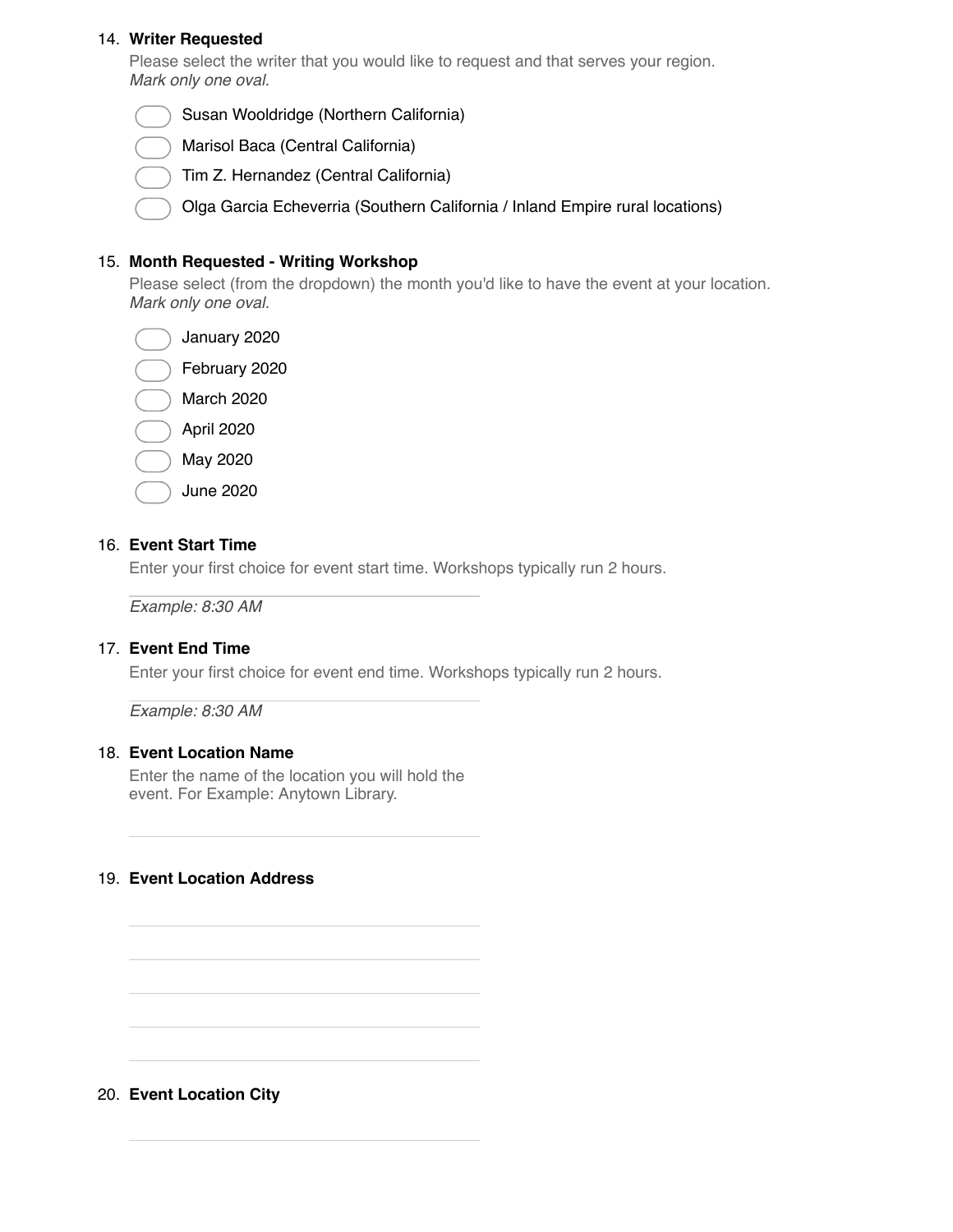#### 14. **Writer Requested**

Please select the writer that you would like to request and that serves your region. *Mark only one oval.*

Susan Wooldridge (Northern California)

Marisol Baca (Central California)

Tim Z. Hernandez (Central California)

Olga Garcia Echeverria (Southern California / Inland Empire rural locations)

#### 15. **Month Requested - Writing Workshop**

Please select (from the dropdown) the month you'd like to have the event at your location. *Mark only one oval.*

January 2020

February 2020

March 2020

April 2020

May 2020

June 2020

#### 16. **Event Start Time**

Enter your first choice for event start time. Workshops typically run 2 hours.

*Example: 8:30 AM*

#### 17. **Event End Time**

Enter your first choice for event end time. Workshops typically run 2 hours.

*Example: 8:30 AM*

#### 18. **Event Location Name**

Enter the name of the location you will hold the event. For Example: Anytown Library.

#### 19. **Event Location Address**

#### 20. **Event Location City**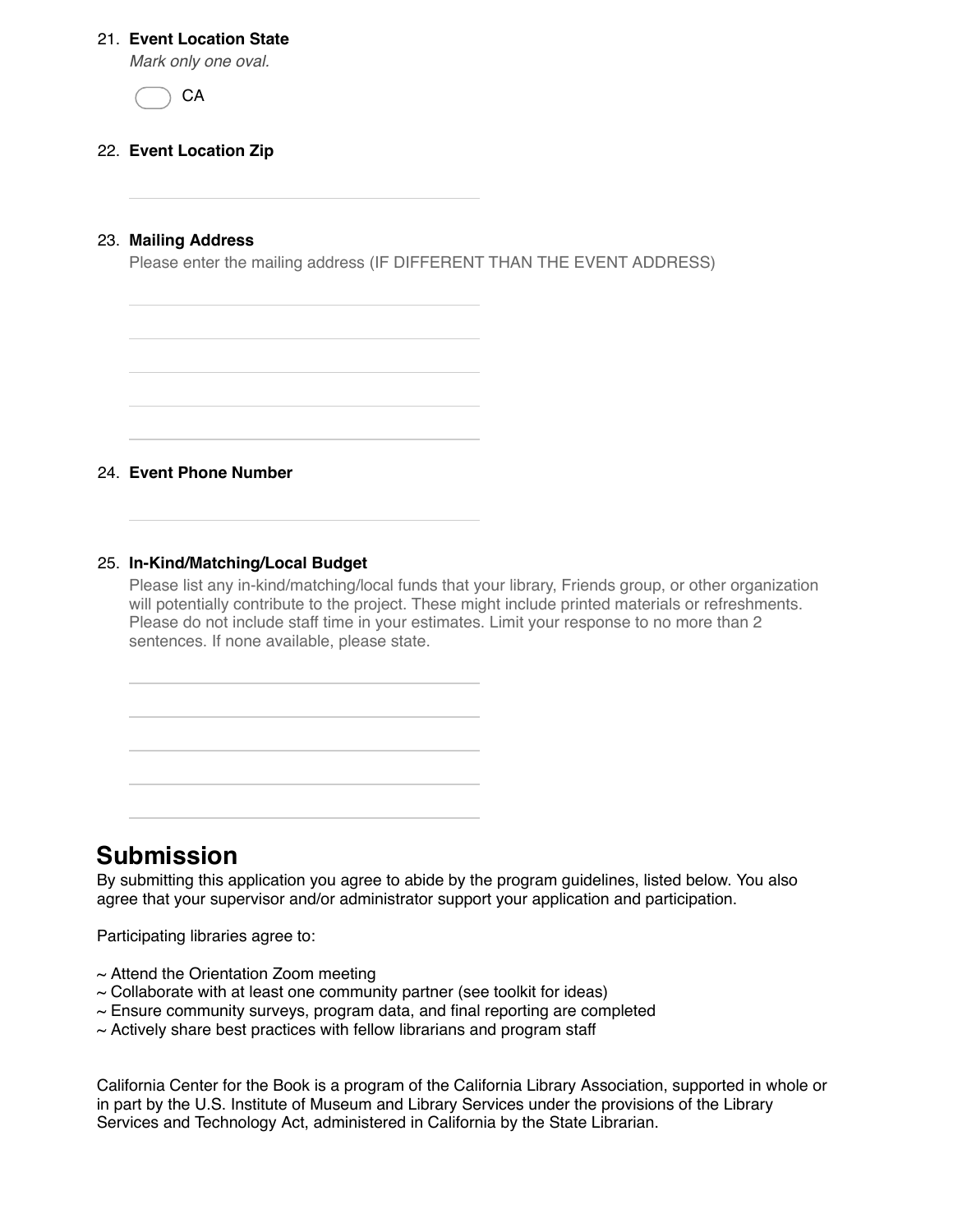#### 21. **Event Location State**

*Mark only one oval.*



#### 22. **Event Location Zip**

#### 23. **Mailing Address**

Please enter the mailing address (IF DIFFERENT THAN THE EVENT ADDRESS)

24. **Event Phone Number**

#### 25. **In-Kind/Matching/Local Budget**

Please list any in-kind/matching/local funds that your library, Friends group, or other organization will potentially contribute to the project. These might include printed materials or refreshments. Please do not include staff time in your estimates. Limit your response to no more than 2 sentences. If none available, please state.

### **Submission**

By submitting this application you agree to abide by the program guidelines, listed below. You also agree that your supervisor and/or administrator support your application and participation.

Participating libraries agree to:

- $\sim$  Attend the Orientation Zoom meeting
- $\sim$  Collaborate with at least one community partner (see toolkit for ideas)
- $\sim$  Ensure community surveys, program data, and final reporting are completed
- $\sim$  Actively share best practices with fellow librarians and program staff

California Center for the Book is a program of the California Library Association, supported in whole or in part by the U.S. Institute of Museum and Library Services under the provisions of the Library Services and Technology Act, administered in California by the State Librarian.